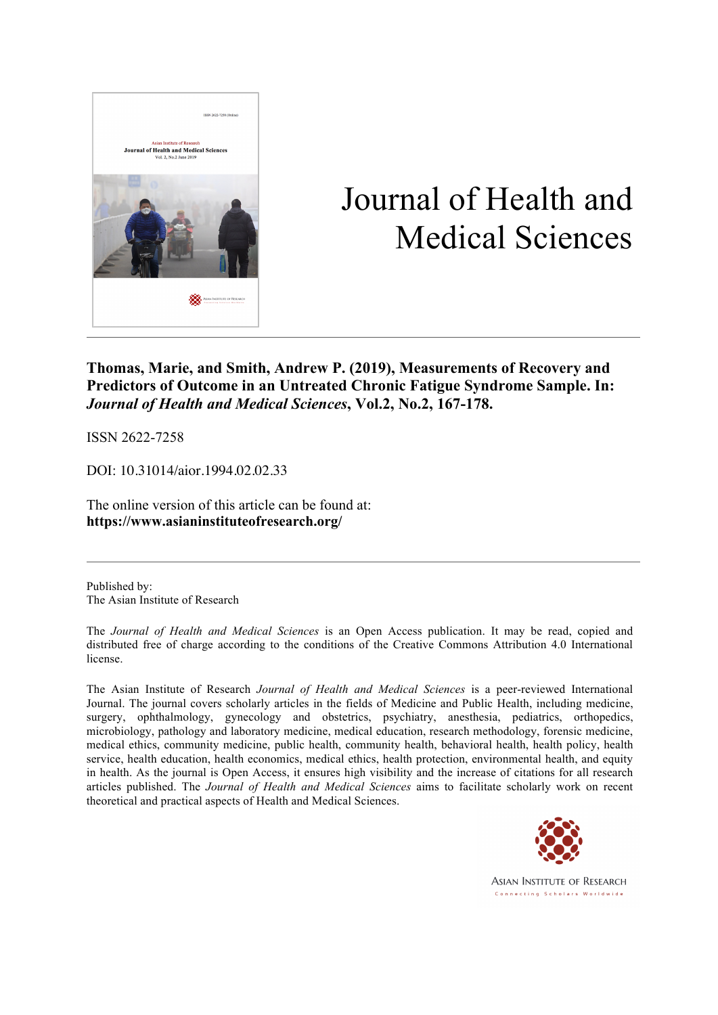

# Journal of Health and Medical Sciences

**Thomas, Marie, and Smith, Andrew P. (2019), Measurements of Recovery and Predictors of Outcome in an Untreated Chronic Fatigue Syndrome Sample. In:**  *Journal of Health and Medical Sciences***, Vol.2, No.2, 167-178.**

ISSN 2622-7258

DOI: 10.31014/aior.1994.02.02.33

The online version of this article can be found at: **https://www.asianinstituteofresearch.org/**

Published by: The Asian Institute of Research

The *Journal of Health and Medical Sciences* is an Open Access publication. It may be read, copied and distributed free of charge according to the conditions of the Creative Commons Attribution 4.0 International license.

The Asian Institute of Research *Journal of Health and Medical Sciences* is a peer-reviewed International Journal. The journal covers scholarly articles in the fields of Medicine and Public Health, including medicine, surgery, ophthalmology, gynecology and obstetrics, psychiatry, anesthesia, pediatrics, orthopedics, microbiology, pathology and laboratory medicine, medical education, research methodology, forensic medicine, medical ethics, community medicine, public health, community health, behavioral health, health policy, health service, health education, health economics, medical ethics, health protection, environmental health, and equity in health. As the journal is Open Access, it ensures high visibility and the increase of citations for all research articles published. The *Journal of Health and Medical Sciences* aims to facilitate scholarly work on recent theoretical and practical aspects of Health and Medical Sciences.



**ASIAN INSTITUTE OF RESEARCH** Connecting Scholars Worldwide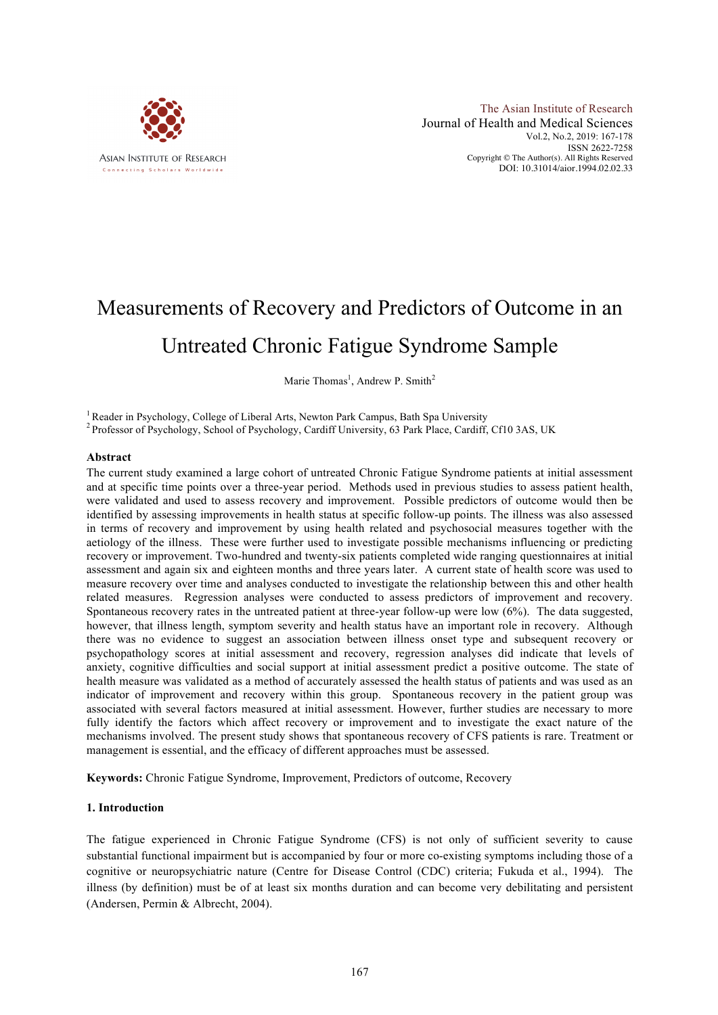

The Asian Institute of Research Journal of Health and Medical Sciences Vol.2, No.2, 2019: 167-178 ISSN 2622-7258 Copyright © The Author(s). All Rights Reserved DOI: 10.31014/aior.1994.02.02.33

# Measurements of Recovery and Predictors of Outcome in an Untreated Chronic Fatigue Syndrome Sample

Marie Thomas<sup>1</sup>, Andrew P. Smith<sup>2</sup>

<sup>1</sup> Reader in Psychology, College of Liberal Arts, Newton Park Campus, Bath Spa University  $\frac{2 \text{ Professor of Psychology}}{2 \text{Professor of Psychology}}$ , School of Psychology, Cardiff University, 63 Park Place, Cardiff, Cf10 3AS, UK

### **Abstract**

The current study examined a large cohort of untreated Chronic Fatigue Syndrome patients at initial assessment and at specific time points over a three-year period. Methods used in previous studies to assess patient health, were validated and used to assess recovery and improvement. Possible predictors of outcome would then be identified by assessing improvements in health status at specific follow-up points. The illness was also assessed in terms of recovery and improvement by using health related and psychosocial measures together with the aetiology of the illness. These were further used to investigate possible mechanisms influencing or predicting recovery or improvement. Two-hundred and twenty-six patients completed wide ranging questionnaires at initial assessment and again six and eighteen months and three years later. A current state of health score was used to measure recovery over time and analyses conducted to investigate the relationship between this and other health related measures. Regression analyses were conducted to assess predictors of improvement and recovery. Spontaneous recovery rates in the untreated patient at three-year follow-up were low (6%). The data suggested, however, that illness length, symptom severity and health status have an important role in recovery. Although there was no evidence to suggest an association between illness onset type and subsequent recovery or psychopathology scores at initial assessment and recovery, regression analyses did indicate that levels of anxiety, cognitive difficulties and social support at initial assessment predict a positive outcome. The state of health measure was validated as a method of accurately assessed the health status of patients and was used as an indicator of improvement and recovery within this group. Spontaneous recovery in the patient group was associated with several factors measured at initial assessment. However, further studies are necessary to more fully identify the factors which affect recovery or improvement and to investigate the exact nature of the mechanisms involved. The present study shows that spontaneous recovery of CFS patients is rare. Treatment or management is essential, and the efficacy of different approaches must be assessed.

**Keywords:** Chronic Fatigue Syndrome, Improvement, Predictors of outcome, Recovery

#### **1. Introduction**

The fatigue experienced in Chronic Fatigue Syndrome (CFS) is not only of sufficient severity to cause substantial functional impairment but is accompanied by four or more co-existing symptoms including those of a cognitive or neuropsychiatric nature (Centre for Disease Control (CDC) criteria; Fukuda et al., 1994). The illness (by definition) must be of at least six months duration and can become very debilitating and persistent (Andersen, Permin & Albrecht, 2004).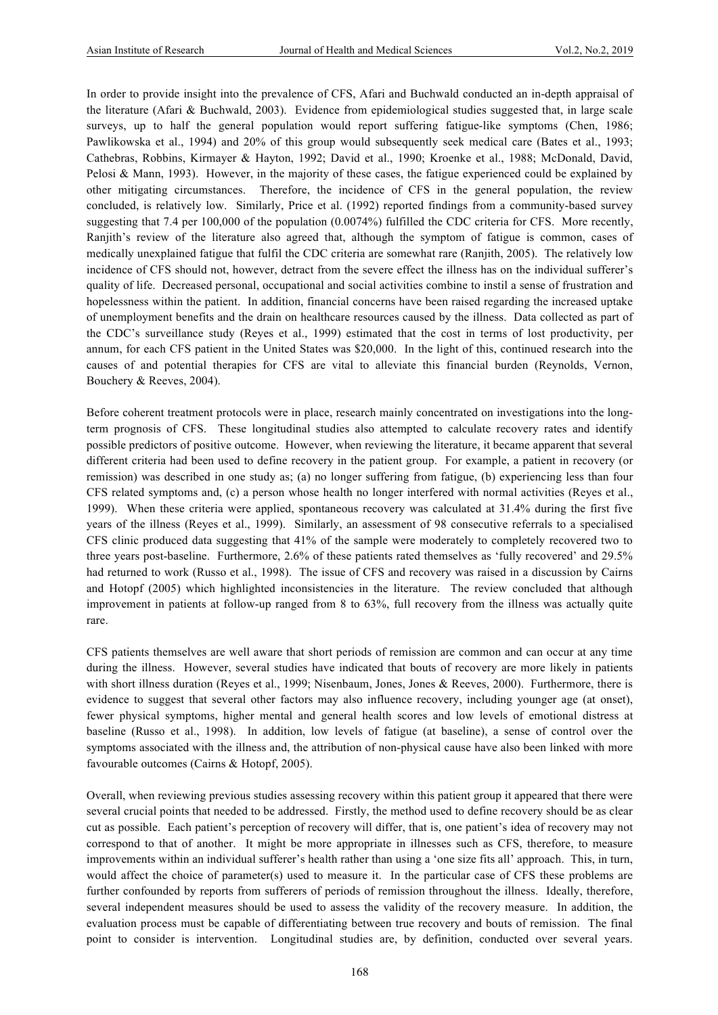In order to provide insight into the prevalence of CFS, Afari and Buchwald conducted an in-depth appraisal of the literature (Afari & Buchwald, 2003). Evidence from epidemiological studies suggested that, in large scale surveys, up to half the general population would report suffering fatigue-like symptoms (Chen, 1986; Pawlikowska et al., 1994) and 20% of this group would subsequently seek medical care (Bates et al., 1993; Cathebras, Robbins, Kirmayer & Hayton, 1992; David et al., 1990; Kroenke et al., 1988; McDonald, David, Pelosi & Mann, 1993). However, in the majority of these cases, the fatigue experienced could be explained by other mitigating circumstances. Therefore, the incidence of CFS in the general population, the review concluded, is relatively low. Similarly, Price et al. (1992) reported findings from a community-based survey suggesting that 7.4 per 100,000 of the population (0.0074%) fulfilled the CDC criteria for CFS. More recently, Ranjith's review of the literature also agreed that, although the symptom of fatigue is common, cases of medically unexplained fatigue that fulfil the CDC criteria are somewhat rare (Ranjith, 2005). The relatively low incidence of CFS should not, however, detract from the severe effect the illness has on the individual sufferer's quality of life. Decreased personal, occupational and social activities combine to instil a sense of frustration and hopelessness within the patient. In addition, financial concerns have been raised regarding the increased uptake of unemployment benefits and the drain on healthcare resources caused by the illness. Data collected as part of the CDC's surveillance study (Reyes et al., 1999) estimated that the cost in terms of lost productivity, per annum, for each CFS patient in the United States was \$20,000. In the light of this, continued research into the causes of and potential therapies for CFS are vital to alleviate this financial burden (Reynolds, Vernon, Bouchery & Reeves, 2004).

Before coherent treatment protocols were in place, research mainly concentrated on investigations into the longterm prognosis of CFS. These longitudinal studies also attempted to calculate recovery rates and identify possible predictors of positive outcome. However, when reviewing the literature, it became apparent that several different criteria had been used to define recovery in the patient group. For example, a patient in recovery (or remission) was described in one study as; (a) no longer suffering from fatigue, (b) experiencing less than four CFS related symptoms and, (c) a person whose health no longer interfered with normal activities (Reyes et al., 1999). When these criteria were applied, spontaneous recovery was calculated at 31.4% during the first five years of the illness (Reyes et al., 1999). Similarly, an assessment of 98 consecutive referrals to a specialised CFS clinic produced data suggesting that 41% of the sample were moderately to completely recovered two to three years post-baseline. Furthermore, 2.6% of these patients rated themselves as 'fully recovered' and 29.5% had returned to work (Russo et al., 1998). The issue of CFS and recovery was raised in a discussion by Cairns and Hotopf (2005) which highlighted inconsistencies in the literature. The review concluded that although improvement in patients at follow-up ranged from 8 to 63%, full recovery from the illness was actually quite rare.

CFS patients themselves are well aware that short periods of remission are common and can occur at any time during the illness. However, several studies have indicated that bouts of recovery are more likely in patients with short illness duration (Reyes et al., 1999; Nisenbaum, Jones, Jones & Reeves, 2000). Furthermore, there is evidence to suggest that several other factors may also influence recovery, including younger age (at onset), fewer physical symptoms, higher mental and general health scores and low levels of emotional distress at baseline (Russo et al., 1998). In addition, low levels of fatigue (at baseline), a sense of control over the symptoms associated with the illness and, the attribution of non-physical cause have also been linked with more favourable outcomes (Cairns & Hotopf, 2005).

Overall, when reviewing previous studies assessing recovery within this patient group it appeared that there were several crucial points that needed to be addressed. Firstly, the method used to define recovery should be as clear cut as possible. Each patient's perception of recovery will differ, that is, one patient's idea of recovery may not correspond to that of another. It might be more appropriate in illnesses such as CFS, therefore, to measure improvements within an individual sufferer's health rather than using a 'one size fits all' approach. This, in turn, would affect the choice of parameter(s) used to measure it. In the particular case of CFS these problems are further confounded by reports from sufferers of periods of remission throughout the illness. Ideally, therefore, several independent measures should be used to assess the validity of the recovery measure. In addition, the evaluation process must be capable of differentiating between true recovery and bouts of remission. The final point to consider is intervention. Longitudinal studies are, by definition, conducted over several years.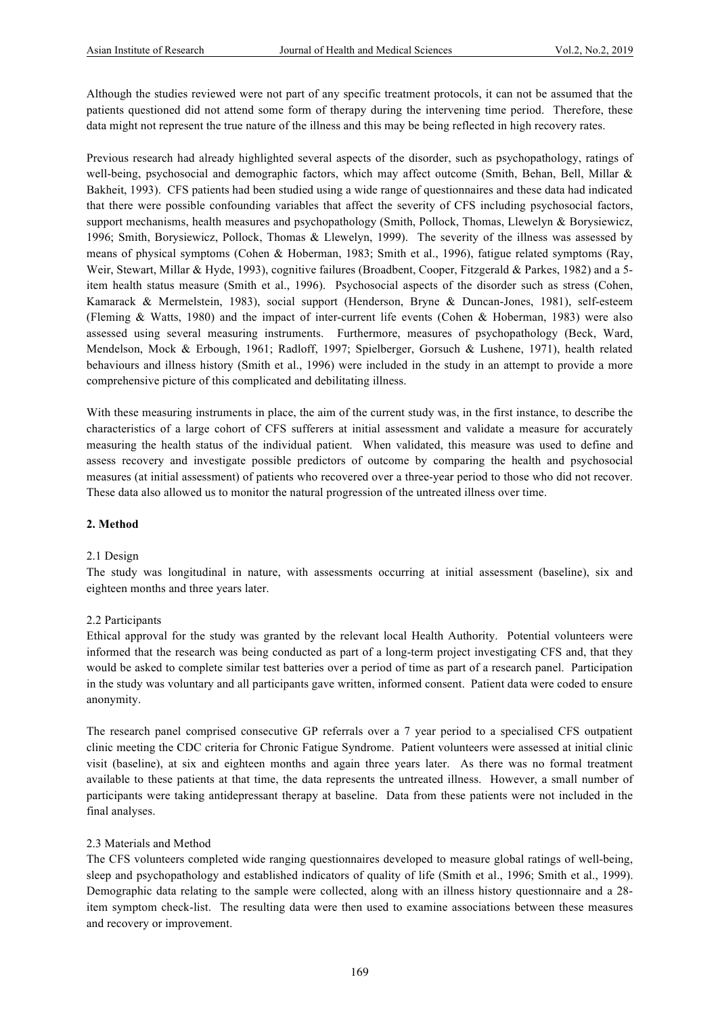Although the studies reviewed were not part of any specific treatment protocols, it can not be assumed that the patients questioned did not attend some form of therapy during the intervening time period. Therefore, these data might not represent the true nature of the illness and this may be being reflected in high recovery rates.

Previous research had already highlighted several aspects of the disorder, such as psychopathology, ratings of well-being, psychosocial and demographic factors, which may affect outcome (Smith, Behan, Bell, Millar & Bakheit, 1993). CFS patients had been studied using a wide range of questionnaires and these data had indicated that there were possible confounding variables that affect the severity of CFS including psychosocial factors, support mechanisms, health measures and psychopathology (Smith, Pollock, Thomas, Llewelyn & Borysiewicz, 1996; Smith, Borysiewicz, Pollock, Thomas & Llewelyn, 1999). The severity of the illness was assessed by means of physical symptoms (Cohen & Hoberman, 1983; Smith et al., 1996), fatigue related symptoms (Ray, Weir, Stewart, Millar & Hyde, 1993), cognitive failures (Broadbent, Cooper, Fitzgerald & Parkes, 1982) and a 5item health status measure (Smith et al., 1996). Psychosocial aspects of the disorder such as stress (Cohen, Kamarack & Mermelstein, 1983), social support (Henderson, Bryne & Duncan-Jones, 1981), self-esteem (Fleming & Watts, 1980) and the impact of inter-current life events (Cohen & Hoberman, 1983) were also assessed using several measuring instruments. Furthermore, measures of psychopathology (Beck, Ward, Mendelson, Mock & Erbough, 1961; Radloff, 1997; Spielberger, Gorsuch & Lushene, 1971), health related behaviours and illness history (Smith et al., 1996) were included in the study in an attempt to provide a more comprehensive picture of this complicated and debilitating illness.

With these measuring instruments in place, the aim of the current study was, in the first instance, to describe the characteristics of a large cohort of CFS sufferers at initial assessment and validate a measure for accurately measuring the health status of the individual patient. When validated, this measure was used to define and assess recovery and investigate possible predictors of outcome by comparing the health and psychosocial measures (at initial assessment) of patients who recovered over a three-year period to those who did not recover. These data also allowed us to monitor the natural progression of the untreated illness over time.

#### **2. Method**

#### 2.1 Design

The study was longitudinal in nature, with assessments occurring at initial assessment (baseline), six and eighteen months and three years later.

#### 2.2 Participants

Ethical approval for the study was granted by the relevant local Health Authority. Potential volunteers were informed that the research was being conducted as part of a long-term project investigating CFS and, that they would be asked to complete similar test batteries over a period of time as part of a research panel. Participation in the study was voluntary and all participants gave written, informed consent. Patient data were coded to ensure anonymity.

The research panel comprised consecutive GP referrals over a 7 year period to a specialised CFS outpatient clinic meeting the CDC criteria for Chronic Fatigue Syndrome. Patient volunteers were assessed at initial clinic visit (baseline), at six and eighteen months and again three years later. As there was no formal treatment available to these patients at that time, the data represents the untreated illness. However, a small number of participants were taking antidepressant therapy at baseline. Data from these patients were not included in the final analyses.

#### 2.3 Materials and Method

The CFS volunteers completed wide ranging questionnaires developed to measure global ratings of well-being, sleep and psychopathology and established indicators of quality of life (Smith et al., 1996; Smith et al., 1999). Demographic data relating to the sample were collected, along with an illness history questionnaire and a 28 item symptom check-list. The resulting data were then used to examine associations between these measures and recovery or improvement.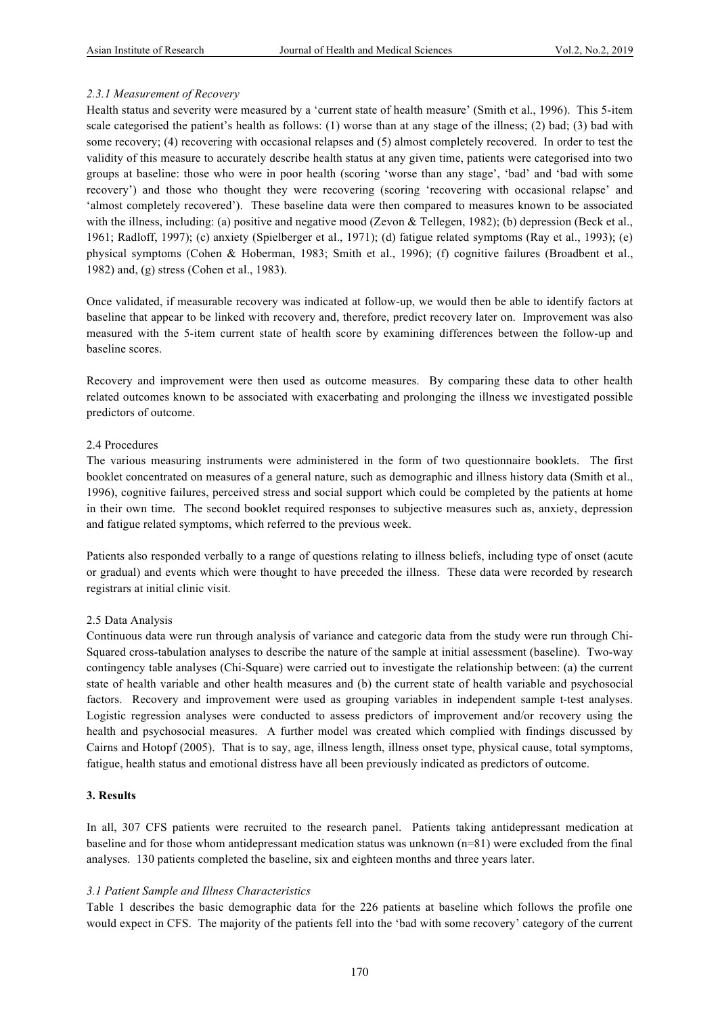# *2.3.1 Measurement of Recovery*

Health status and severity were measured by a 'current state of health measure' (Smith et al., 1996). This 5-item scale categorised the patient's health as follows: (1) worse than at any stage of the illness; (2) bad; (3) bad with some recovery; (4) recovering with occasional relapses and (5) almost completely recovered. In order to test the validity of this measure to accurately describe health status at any given time, patients were categorised into two groups at baseline: those who were in poor health (scoring 'worse than any stage', 'bad' and 'bad with some recovery') and those who thought they were recovering (scoring 'recovering with occasional relapse' and 'almost completely recovered'). These baseline data were then compared to measures known to be associated with the illness, including: (a) positive and negative mood (Zevon & Tellegen, 1982); (b) depression (Beck et al., 1961; Radloff, 1997); (c) anxiety (Spielberger et al., 1971); (d) fatigue related symptoms (Ray et al., 1993); (e) physical symptoms (Cohen & Hoberman, 1983; Smith et al., 1996); (f) cognitive failures (Broadbent et al., 1982) and, (g) stress (Cohen et al., 1983).

Once validated, if measurable recovery was indicated at follow-up, we would then be able to identify factors at baseline that appear to be linked with recovery and, therefore, predict recovery later on. Improvement was also measured with the 5-item current state of health score by examining differences between the follow-up and baseline scores.

Recovery and improvement were then used as outcome measures. By comparing these data to other health related outcomes known to be associated with exacerbating and prolonging the illness we investigated possible predictors of outcome.

# 2.4 Procedures

The various measuring instruments were administered in the form of two questionnaire booklets. The first booklet concentrated on measures of a general nature, such as demographic and illness history data (Smith et al., 1996), cognitive failures, perceived stress and social support which could be completed by the patients at home in their own time. The second booklet required responses to subjective measures such as, anxiety, depression and fatigue related symptoms, which referred to the previous week.

Patients also responded verbally to a range of questions relating to illness beliefs, including type of onset (acute or gradual) and events which were thought to have preceded the illness. These data were recorded by research registrars at initial clinic visit.

# 2.5 Data Analysis

Continuous data were run through analysis of variance and categoric data from the study were run through Chi-Squared cross-tabulation analyses to describe the nature of the sample at initial assessment (baseline). Two-way contingency table analyses (Chi-Square) were carried out to investigate the relationship between: (a) the current state of health variable and other health measures and (b) the current state of health variable and psychosocial factors. Recovery and improvement were used as grouping variables in independent sample t-test analyses. Logistic regression analyses were conducted to assess predictors of improvement and/or recovery using the health and psychosocial measures. A further model was created which complied with findings discussed by Cairns and Hotopf (2005). That is to say, age, illness length, illness onset type, physical cause, total symptoms, fatigue, health status and emotional distress have all been previously indicated as predictors of outcome.

# **3. Results**

In all, 307 CFS patients were recruited to the research panel. Patients taking antidepressant medication at baseline and for those whom antidepressant medication status was unknown (n=81) were excluded from the final analyses. 130 patients completed the baseline, six and eighteen months and three years later.

# *3.1 Patient Sample and Illness Characteristics*

Table 1 describes the basic demographic data for the 226 patients at baseline which follows the profile one would expect in CFS. The majority of the patients fell into the 'bad with some recovery' category of the current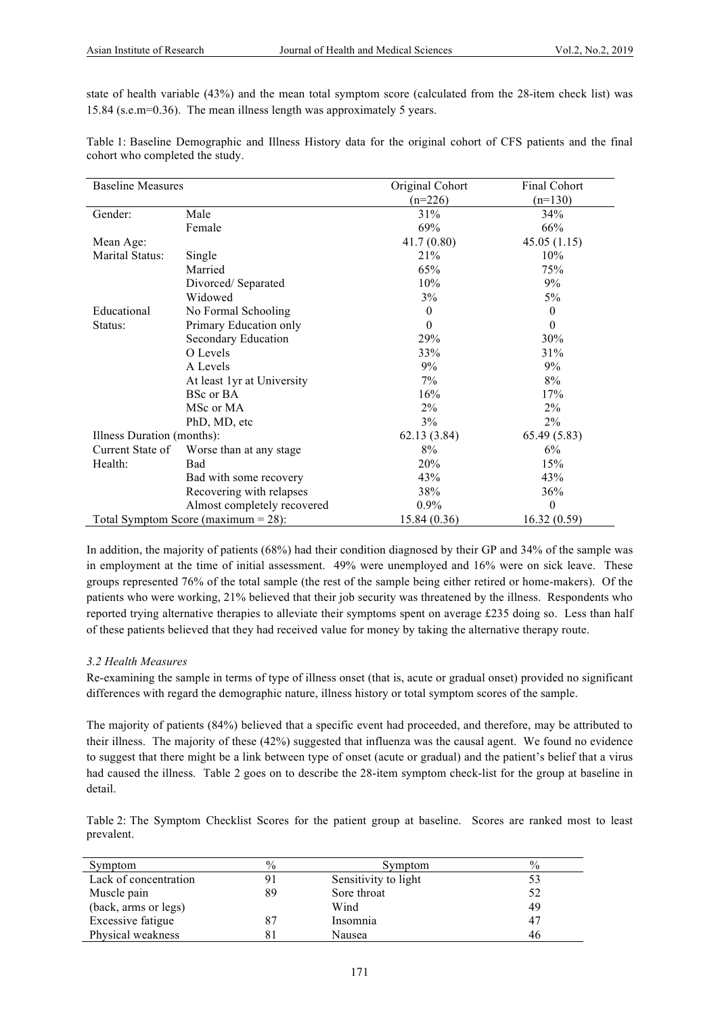state of health variable (43%) and the mean total symptom score (calculated from the 28-item check list) was 15.84 (s.e.m=0.36). The mean illness length was approximately 5 years.

| Table 1: Baseline Demographic and Illness History data for the original cohort of CFS patients and the final |  |  |  |  |  |  |  |  |
|--------------------------------------------------------------------------------------------------------------|--|--|--|--|--|--|--|--|
| cohort who completed the study.                                                                              |  |  |  |  |  |  |  |  |

| <b>Baseline Measures</b>               |                             | Original Cohort  | Final Cohort |
|----------------------------------------|-----------------------------|------------------|--------------|
|                                        |                             | $(n=226)$        | $(n=130)$    |
| Gender:                                | Male                        | 31%              | 34%          |
|                                        | Female                      | 69%              | 66%          |
| Mean Age:                              |                             | 41.7(0.80)       | 45.05(1.15)  |
| Marital Status:                        | Single                      | 21%              | 10%          |
|                                        | Married                     | 65%              | 75%          |
|                                        | Divorced/Separated          | 10%              | 9%           |
|                                        | Widowed                     | 3%               | 5%           |
| Educational                            | No Formal Schooling         | $\boldsymbol{0}$ | $\theta$     |
| Status:                                | Primary Education only      | $\theta$         | $\theta$     |
|                                        | Secondary Education         | 29%              | 30%          |
|                                        | O Levels                    | 33%              | 31%          |
|                                        | A Levels                    | 9%               | 9%           |
|                                        | At least 1yr at University  | 7%               | 8%           |
|                                        | BSc or BA                   | 16%              | 17%          |
|                                        | MSc or MA                   | 2%               | $2\%$        |
|                                        | PhD, MD, etc                | 3%               | $2\%$        |
| Illness Duration (months):             |                             | 62.13 (3.84)     | 65.49(5.83)  |
| Current State of                       | Worse than at any stage.    | 8%               | 6%           |
| Health:                                | Bad                         | 20%              | 15%          |
|                                        | Bad with some recovery      | 43%              | 43%          |
|                                        | Recovering with relapses    | 38%              | 36%          |
|                                        | Almost completely recovered | $0.9\%$          | $\theta$     |
| Total Symptom Score (maximum $= 28$ ): |                             | 15.84 (0.36)     | 16.32(0.59)  |

In addition, the majority of patients (68%) had their condition diagnosed by their GP and 34% of the sample was in employment at the time of initial assessment. 49% were unemployed and 16% were on sick leave. These groups represented 76% of the total sample (the rest of the sample being either retired or home-makers). Of the patients who were working, 21% believed that their job security was threatened by the illness. Respondents who reported trying alternative therapies to alleviate their symptoms spent on average £235 doing so. Less than half of these patients believed that they had received value for money by taking the alternative therapy route.

# *3.2 Health Measures*

Re-examining the sample in terms of type of illness onset (that is, acute or gradual onset) provided no significant differences with regard the demographic nature, illness history or total symptom scores of the sample.

The majority of patients (84%) believed that a specific event had proceeded, and therefore, may be attributed to their illness. The majority of these (42%) suggested that influenza was the causal agent. We found no evidence to suggest that there might be a link between type of onset (acute or gradual) and the patient's belief that a virus had caused the illness. Table 2 goes on to describe the 28-item symptom check-list for the group at baseline in detail.

Table 2: The Symptom Checklist Scores for the patient group at baseline. Scores are ranked most to least prevalent.

| Symptom               | $\%$ | Symptom              | $\frac{0}{0}$ |
|-----------------------|------|----------------------|---------------|
| Lack of concentration |      | Sensitivity to light | 53            |
| Muscle pain           | 89   | Sore throat          | 52            |
| (back, arms or legs)  |      | Wind                 | 49            |
| Excessive fatigue     |      | Insomnia             | 47            |
| Physical weakness     |      | Nausea               | 46            |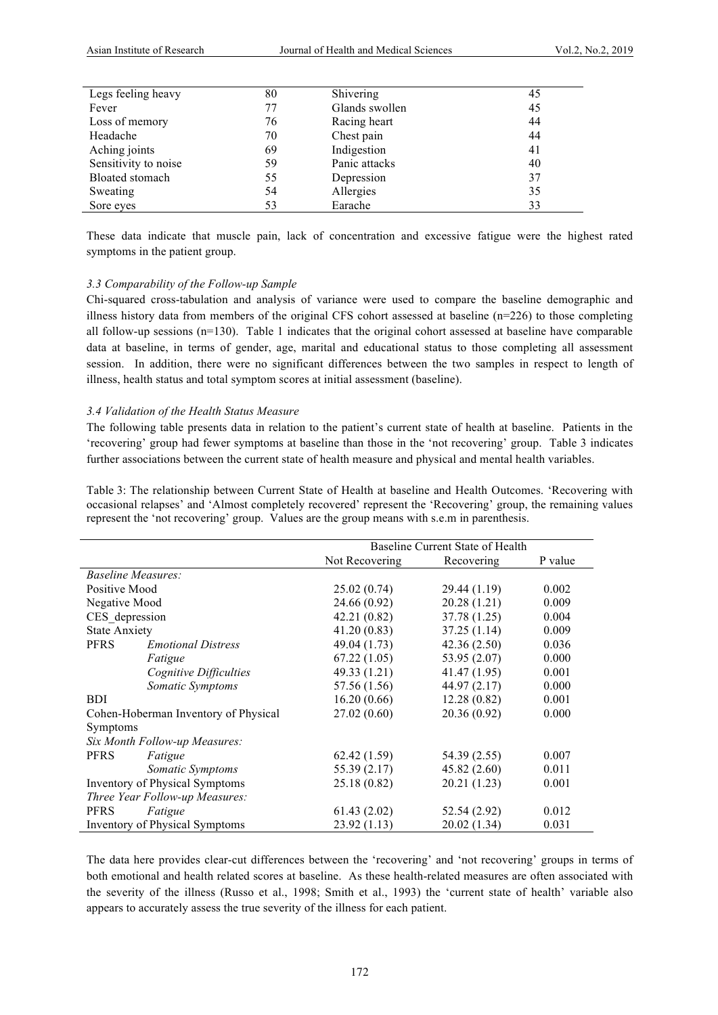| 80 | Shivering      | 45 |
|----|----------------|----|
| 77 | Glands swollen | 45 |
| 76 | Racing heart   | 44 |
| 70 | Chest pain     | 44 |
| 69 | Indigestion    | 41 |
| 59 | Panic attacks  | 40 |
| 55 | Depression     | 37 |
| 54 | Allergies      | 35 |
| 53 | Earache        | 33 |
|    |                |    |

These data indicate that muscle pain, lack of concentration and excessive fatigue were the highest rated symptoms in the patient group.

#### *3.3 Comparability of the Follow-up Sample*

Chi-squared cross-tabulation and analysis of variance were used to compare the baseline demographic and illness history data from members of the original CFS cohort assessed at baseline (n=226) to those completing all follow-up sessions  $(n=130)$ . Table 1 indicates that the original cohort assessed at baseline have comparable data at baseline, in terms of gender, age, marital and educational status to those completing all assessment session. In addition, there were no significant differences between the two samples in respect to length of illness, health status and total symptom scores at initial assessment (baseline).

#### *3.4 Validation of the Health Status Measure*

The following table presents data in relation to the patient's current state of health at baseline. Patients in the 'recovering' group had fewer symptoms at baseline than those in the 'not recovering' group. Table 3 indicates further associations between the current state of health measure and physical and mental health variables.

Table 3: The relationship between Current State of Health at baseline and Health Outcomes. 'Recovering with occasional relapses' and 'Almost completely recovered' represent the 'Recovering' group, the remaining values represent the 'not recovering' group. Values are the group means with s.e.m in parenthesis.

|                                       |                           | Baseline Current State of Health |              |         |
|---------------------------------------|---------------------------|----------------------------------|--------------|---------|
|                                       |                           | Not Recovering                   | Recovering   | P value |
| <i>Baseline Measures:</i>             |                           |                                  |              |         |
| Positive Mood                         |                           | 25.02(0.74)                      | 29.44 (1.19) | 0.002   |
| Negative Mood                         |                           | 24.66 (0.92)                     | 20.28(1.21)  | 0.009   |
| CES depression                        |                           | 42.21 (0.82)                     | 37.78 (1.25) | 0.004   |
| <b>State Anxiety</b>                  |                           | 41.20(0.83)                      | 37.25(1.14)  | 0.009   |
| <b>PFRS</b>                           | <b>Emotional Distress</b> | 49.04 (1.73)                     | 42.36(2.50)  | 0.036   |
|                                       | Fatigue                   | 67.22(1.05)                      | 53.95 (2.07) | 0.000   |
|                                       | Cognitive Difficulties    | 49.33 (1.21)                     | 41.47 (1.95) | 0.001   |
|                                       | Somatic Symptoms          | 57.56 (1.56)                     | 44.97 (2.17) | 0.000   |
| <b>BDI</b>                            |                           | 16.20(0.66)                      | 12.28(0.82)  | 0.001   |
| Cohen-Hoberman Inventory of Physical  |                           | 27.02(0.60)                      | 20.36 (0.92) | 0.000   |
| <b>Symptoms</b>                       |                           |                                  |              |         |
| Six Month Follow-up Measures:         |                           |                                  |              |         |
| <b>PFRS</b>                           | Fatigue                   | 62.42(1.59)                      | 54.39 (2.55) | 0.007   |
|                                       | Somatic Symptoms          | 55.39 (2.17)                     | 45.82(2.60)  | 0.011   |
| <b>Inventory of Physical Symptoms</b> |                           | 25.18 (0.82)                     | 20.21 (1.23) | 0.001   |
| Three Year Follow-up Measures:        |                           |                                  |              |         |
| <b>PFRS</b>                           | Fatigue                   | 61.43(2.02)                      | 52.54 (2.92) | 0.012   |
| <b>Inventory of Physical Symptoms</b> |                           | 23.92(1.13)                      | 20.02 (1.34) | 0.031   |

The data here provides clear-cut differences between the 'recovering' and 'not recovering' groups in terms of both emotional and health related scores at baseline. As these health-related measures are often associated with the severity of the illness (Russo et al., 1998; Smith et al., 1993) the 'current state of health' variable also appears to accurately assess the true severity of the illness for each patient.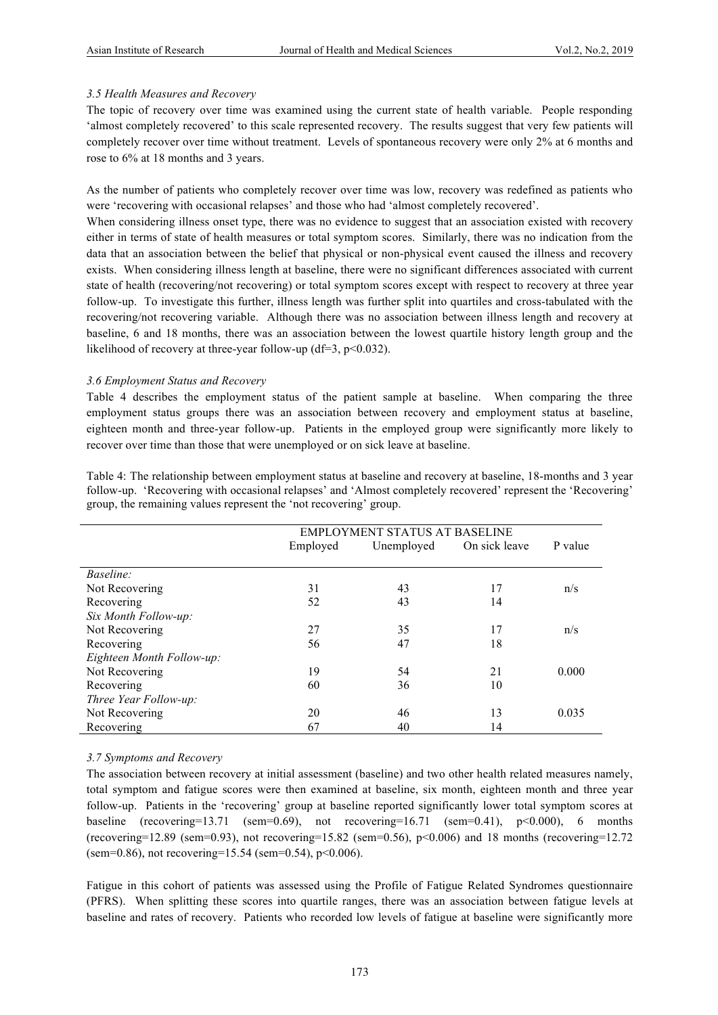### *3.5 Health Measures and Recovery*

The topic of recovery over time was examined using the current state of health variable. People responding 'almost completely recovered' to this scale represented recovery. The results suggest that very few patients will completely recover over time without treatment. Levels of spontaneous recovery were only 2% at 6 months and rose to 6% at 18 months and 3 years.

As the number of patients who completely recover over time was low, recovery was redefined as patients who were 'recovering with occasional relapses' and those who had 'almost completely recovered'.

When considering illness onset type, there was no evidence to suggest that an association existed with recovery either in terms of state of health measures or total symptom scores. Similarly, there was no indication from the data that an association between the belief that physical or non-physical event caused the illness and recovery exists. When considering illness length at baseline, there were no significant differences associated with current state of health (recovering/not recovering) or total symptom scores except with respect to recovery at three year follow-up. To investigate this further, illness length was further split into quartiles and cross-tabulated with the recovering/not recovering variable. Although there was no association between illness length and recovery at baseline, 6 and 18 months, there was an association between the lowest quartile history length group and the likelihood of recovery at three-year follow-up (df=3, p<0.032).

### *3.6 Employment Status and Recovery*

Table 4 describes the employment status of the patient sample at baseline. When comparing the three employment status groups there was an association between recovery and employment status at baseline, eighteen month and three-year follow-up. Patients in the employed group were significantly more likely to recover over time than those that were unemployed or on sick leave at baseline.

|                           | <b>EMPLOYMENT STATUS AT BASELINE</b> |            |               |         |
|---------------------------|--------------------------------------|------------|---------------|---------|
|                           | Employed                             | Unemployed | On sick leave | P value |
|                           |                                      |            |               |         |
| <i>Baseline:</i>          |                                      |            |               |         |
| Not Recovering            | 31                                   | 43         | 17            | n/s     |
| Recovering                | 52                                   | 43         | 14            |         |
| Six Month Follow-up:      |                                      |            |               |         |
| Not Recovering            | 27                                   | 35         | 17            | n/s     |
| Recovering                | 56                                   | 47         | 18            |         |
| Eighteen Month Follow-up: |                                      |            |               |         |
| Not Recovering            | 19                                   | 54         | 21            | 0.000   |
| Recovering                | 60                                   | 36         | 10            |         |
| Three Year Follow-up:     |                                      |            |               |         |
| Not Recovering            | 20                                   | 46         | 13            | 0.035   |
| Recovering                | 67                                   | 40         | 14            |         |

Table 4: The relationship between employment status at baseline and recovery at baseline, 18-months and 3 year follow-up. 'Recovering with occasional relapses' and 'Almost completely recovered' represent the 'Recovering' group, the remaining values represent the 'not recovering' group.

# *3.7 Symptoms and Recovery*

The association between recovery at initial assessment (baseline) and two other health related measures namely, total symptom and fatigue scores were then examined at baseline, six month, eighteen month and three year follow-up. Patients in the 'recovering' group at baseline reported significantly lower total symptom scores at baseline (recovering=13.71 (sem=0.69), not recovering=16.71 (sem=0.41),  $p<0.000$ ), 6 months (recovering=12.89 (sem=0.93), not recovering=15.82 (sem=0.56),  $p<0.006$ ) and 18 months (recovering=12.72) (sem=0.86), not recovering=15.54 (sem=0.54),  $p<0.006$ ).

Fatigue in this cohort of patients was assessed using the Profile of Fatigue Related Syndromes questionnaire (PFRS). When splitting these scores into quartile ranges, there was an association between fatigue levels at baseline and rates of recovery. Patients who recorded low levels of fatigue at baseline were significantly more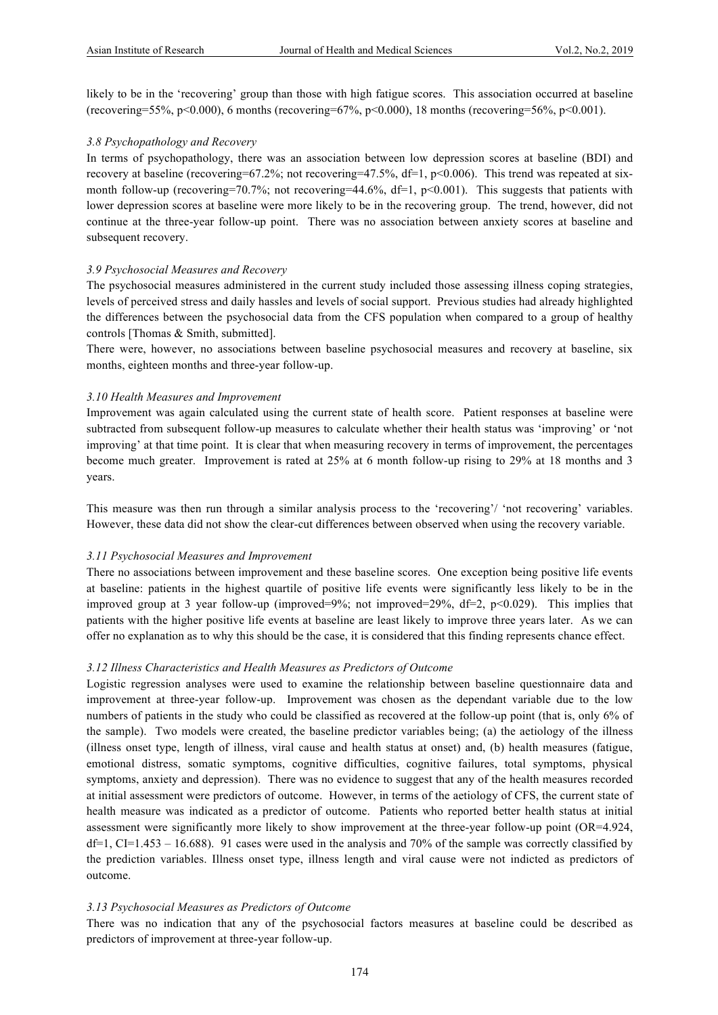likely to be in the 'recovering' group than those with high fatigue scores. This association occurred at baseline (recovering=55%, p<0.000), 6 months (recovering=67%, p<0.000), 18 months (recovering=56%, p<0.001).

#### *3.8 Psychopathology and Recovery*

In terms of psychopathology, there was an association between low depression scores at baseline (BDI) and recovery at baseline (recovering=67.2%; not recovering=47.5%, df=1, p<0.006). This trend was repeated at sixmonth follow-up (recovering=70.7%; not recovering=44.6%, df=1, p<0.001). This suggests that patients with lower depression scores at baseline were more likely to be in the recovering group. The trend, however, did not continue at the three-year follow-up point. There was no association between anxiety scores at baseline and subsequent recovery.

### *3.9 Psychosocial Measures and Recovery*

The psychosocial measures administered in the current study included those assessing illness coping strategies, levels of perceived stress and daily hassles and levels of social support. Previous studies had already highlighted the differences between the psychosocial data from the CFS population when compared to a group of healthy controls [Thomas & Smith, submitted].

There were, however, no associations between baseline psychosocial measures and recovery at baseline, six months, eighteen months and three-year follow-up.

### *3.10 Health Measures and Improvement*

Improvement was again calculated using the current state of health score. Patient responses at baseline were subtracted from subsequent follow-up measures to calculate whether their health status was 'improving' or 'not improving' at that time point. It is clear that when measuring recovery in terms of improvement, the percentages become much greater. Improvement is rated at 25% at 6 month follow-up rising to 29% at 18 months and 3 years.

This measure was then run through a similar analysis process to the 'recovering'/ 'not recovering' variables. However, these data did not show the clear-cut differences between observed when using the recovery variable.

#### *3.11 Psychosocial Measures and Improvement*

There no associations between improvement and these baseline scores. One exception being positive life events at baseline: patients in the highest quartile of positive life events were significantly less likely to be in the improved group at 3 year follow-up (improved=9%; not improved=29%, df=2, p<0.029). This implies that patients with the higher positive life events at baseline are least likely to improve three years later. As we can offer no explanation as to why this should be the case, it is considered that this finding represents chance effect.

#### *3.12 Illness Characteristics and Health Measures as Predictors of Outcome*

Logistic regression analyses were used to examine the relationship between baseline questionnaire data and improvement at three-year follow-up. Improvement was chosen as the dependant variable due to the low numbers of patients in the study who could be classified as recovered at the follow-up point (that is, only 6% of the sample). Two models were created, the baseline predictor variables being; (a) the aetiology of the illness (illness onset type, length of illness, viral cause and health status at onset) and, (b) health measures (fatigue, emotional distress, somatic symptoms, cognitive difficulties, cognitive failures, total symptoms, physical symptoms, anxiety and depression). There was no evidence to suggest that any of the health measures recorded at initial assessment were predictors of outcome. However, in terms of the aetiology of CFS, the current state of health measure was indicated as a predictor of outcome. Patients who reported better health status at initial assessment were significantly more likely to show improvement at the three-year follow-up point (OR=4.924,  $df=1$ , CI=1.453 – 16.688). 91 cases were used in the analysis and 70% of the sample was correctly classified by the prediction variables. Illness onset type, illness length and viral cause were not indicted as predictors of outcome.

# *3.13 Psychosocial Measures as Predictors of Outcome*

There was no indication that any of the psychosocial factors measures at baseline could be described as predictors of improvement at three-year follow-up.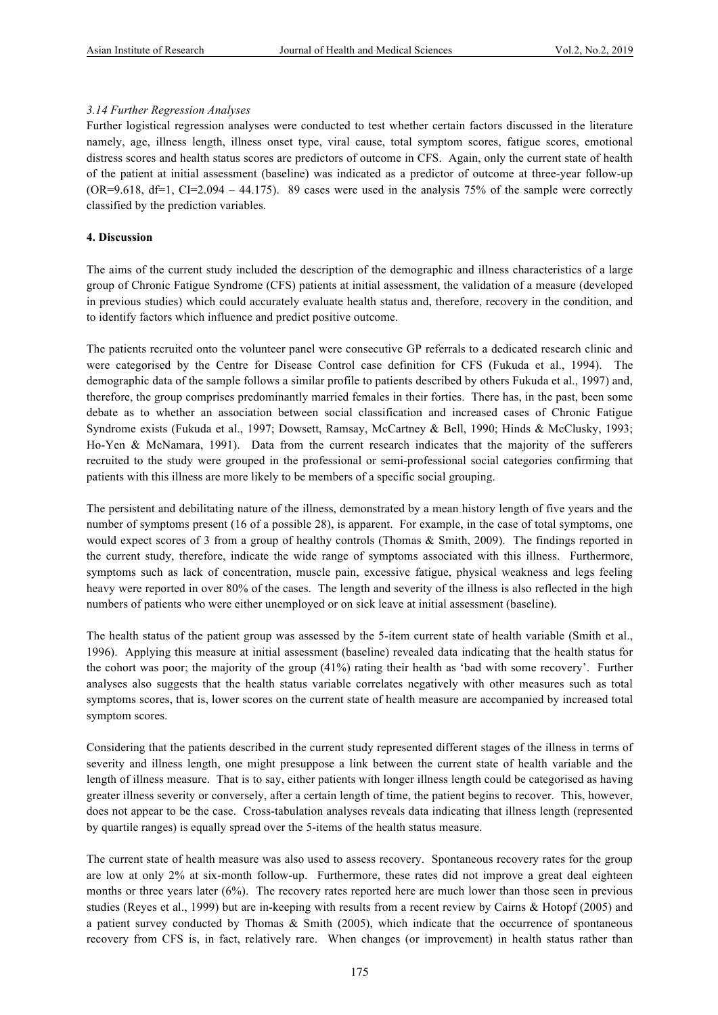### *3.14 Further Regression Analyses*

Further logistical regression analyses were conducted to test whether certain factors discussed in the literature namely, age, illness length, illness onset type, viral cause, total symptom scores, fatigue scores, emotional distress scores and health status scores are predictors of outcome in CFS. Again, only the current state of health of the patient at initial assessment (baseline) was indicated as a predictor of outcome at three-year follow-up  $(OR=9.618, df=1, CI=2.094 - 44.175)$ . 89 cases were used in the analysis 75% of the sample were correctly classified by the prediction variables.

# **4. Discussion**

The aims of the current study included the description of the demographic and illness characteristics of a large group of Chronic Fatigue Syndrome (CFS) patients at initial assessment, the validation of a measure (developed in previous studies) which could accurately evaluate health status and, therefore, recovery in the condition, and to identify factors which influence and predict positive outcome.

The patients recruited onto the volunteer panel were consecutive GP referrals to a dedicated research clinic and were categorised by the Centre for Disease Control case definition for CFS (Fukuda et al., 1994). The demographic data of the sample follows a similar profile to patients described by others Fukuda et al., 1997) and, therefore, the group comprises predominantly married females in their forties. There has, in the past, been some debate as to whether an association between social classification and increased cases of Chronic Fatigue Syndrome exists (Fukuda et al., 1997; Dowsett, Ramsay, McCartney & Bell, 1990; Hinds & McClusky, 1993; Ho-Yen & McNamara, 1991). Data from the current research indicates that the majority of the sufferers recruited to the study were grouped in the professional or semi-professional social categories confirming that patients with this illness are more likely to be members of a specific social grouping.

The persistent and debilitating nature of the illness, demonstrated by a mean history length of five years and the number of symptoms present (16 of a possible 28), is apparent. For example, in the case of total symptoms, one would expect scores of 3 from a group of healthy controls (Thomas & Smith, 2009). The findings reported in the current study, therefore, indicate the wide range of symptoms associated with this illness. Furthermore, symptoms such as lack of concentration, muscle pain, excessive fatigue, physical weakness and legs feeling heavy were reported in over 80% of the cases. The length and severity of the illness is also reflected in the high numbers of patients who were either unemployed or on sick leave at initial assessment (baseline).

The health status of the patient group was assessed by the 5-item current state of health variable (Smith et al., 1996). Applying this measure at initial assessment (baseline) revealed data indicating that the health status for the cohort was poor; the majority of the group (41%) rating their health as 'bad with some recovery'. Further analyses also suggests that the health status variable correlates negatively with other measures such as total symptoms scores, that is, lower scores on the current state of health measure are accompanied by increased total symptom scores.

Considering that the patients described in the current study represented different stages of the illness in terms of severity and illness length, one might presuppose a link between the current state of health variable and the length of illness measure. That is to say, either patients with longer illness length could be categorised as having greater illness severity or conversely, after a certain length of time, the patient begins to recover. This, however, does not appear to be the case. Cross-tabulation analyses reveals data indicating that illness length (represented by quartile ranges) is equally spread over the 5-items of the health status measure.

The current state of health measure was also used to assess recovery. Spontaneous recovery rates for the group are low at only 2% at six-month follow-up. Furthermore, these rates did not improve a great deal eighteen months or three years later (6%). The recovery rates reported here are much lower than those seen in previous studies (Reyes et al., 1999) but are in-keeping with results from a recent review by Cairns & Hotopf (2005) and a patient survey conducted by Thomas & Smith (2005), which indicate that the occurrence of spontaneous recovery from CFS is, in fact, relatively rare. When changes (or improvement) in health status rather than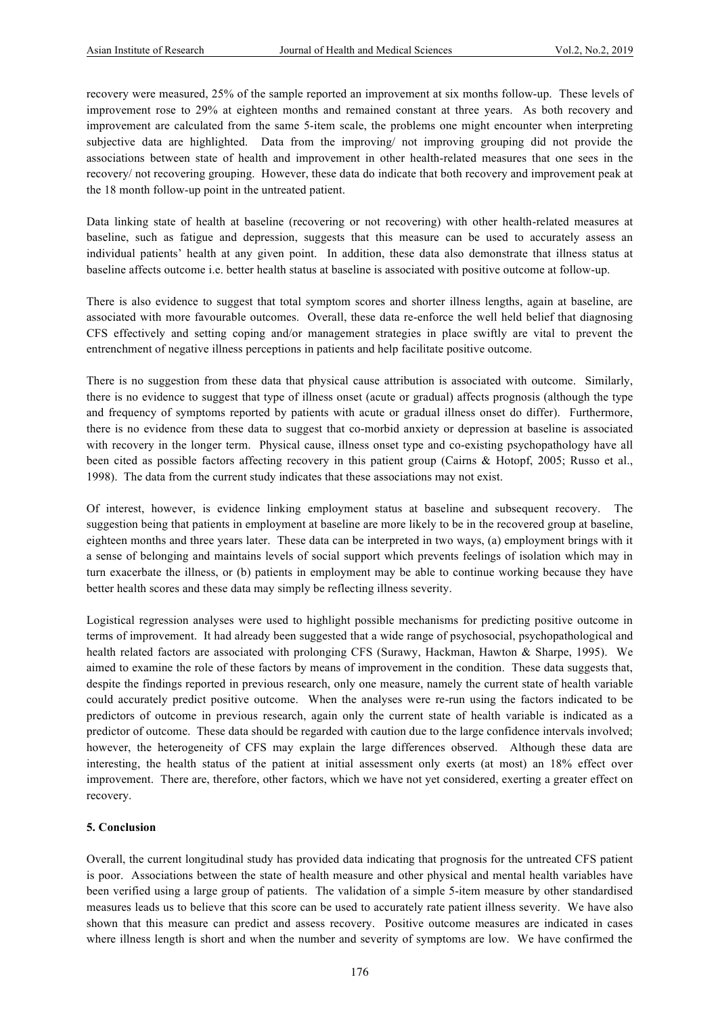recovery were measured, 25% of the sample reported an improvement at six months follow-up. These levels of improvement rose to 29% at eighteen months and remained constant at three years. As both recovery and improvement are calculated from the same 5-item scale, the problems one might encounter when interpreting subjective data are highlighted. Data from the improving/ not improving grouping did not provide the associations between state of health and improvement in other health-related measures that one sees in the recovery/ not recovering grouping. However, these data do indicate that both recovery and improvement peak at the 18 month follow-up point in the untreated patient.

Data linking state of health at baseline (recovering or not recovering) with other health-related measures at baseline, such as fatigue and depression, suggests that this measure can be used to accurately assess an individual patients' health at any given point. In addition, these data also demonstrate that illness status at baseline affects outcome i.e. better health status at baseline is associated with positive outcome at follow-up.

There is also evidence to suggest that total symptom scores and shorter illness lengths, again at baseline, are associated with more favourable outcomes. Overall, these data re-enforce the well held belief that diagnosing CFS effectively and setting coping and/or management strategies in place swiftly are vital to prevent the entrenchment of negative illness perceptions in patients and help facilitate positive outcome.

There is no suggestion from these data that physical cause attribution is associated with outcome. Similarly, there is no evidence to suggest that type of illness onset (acute or gradual) affects prognosis (although the type and frequency of symptoms reported by patients with acute or gradual illness onset do differ). Furthermore, there is no evidence from these data to suggest that co-morbid anxiety or depression at baseline is associated with recovery in the longer term. Physical cause, illness onset type and co-existing psychopathology have all been cited as possible factors affecting recovery in this patient group (Cairns & Hotopf, 2005; Russo et al., 1998). The data from the current study indicates that these associations may not exist.

Of interest, however, is evidence linking employment status at baseline and subsequent recovery. The suggestion being that patients in employment at baseline are more likely to be in the recovered group at baseline, eighteen months and three years later. These data can be interpreted in two ways, (a) employment brings with it a sense of belonging and maintains levels of social support which prevents feelings of isolation which may in turn exacerbate the illness, or (b) patients in employment may be able to continue working because they have better health scores and these data may simply be reflecting illness severity.

Logistical regression analyses were used to highlight possible mechanisms for predicting positive outcome in terms of improvement. It had already been suggested that a wide range of psychosocial, psychopathological and health related factors are associated with prolonging CFS (Surawy, Hackman, Hawton & Sharpe, 1995). We aimed to examine the role of these factors by means of improvement in the condition. These data suggests that, despite the findings reported in previous research, only one measure, namely the current state of health variable could accurately predict positive outcome. When the analyses were re-run using the factors indicated to be predictors of outcome in previous research, again only the current state of health variable is indicated as a predictor of outcome. These data should be regarded with caution due to the large confidence intervals involved; however, the heterogeneity of CFS may explain the large differences observed. Although these data are interesting, the health status of the patient at initial assessment only exerts (at most) an 18% effect over improvement. There are, therefore, other factors, which we have not yet considered, exerting a greater effect on recovery.

# **5. Conclusion**

Overall, the current longitudinal study has provided data indicating that prognosis for the untreated CFS patient is poor. Associations between the state of health measure and other physical and mental health variables have been verified using a large group of patients. The validation of a simple 5-item measure by other standardised measures leads us to believe that this score can be used to accurately rate patient illness severity. We have also shown that this measure can predict and assess recovery. Positive outcome measures are indicated in cases where illness length is short and when the number and severity of symptoms are low. We have confirmed the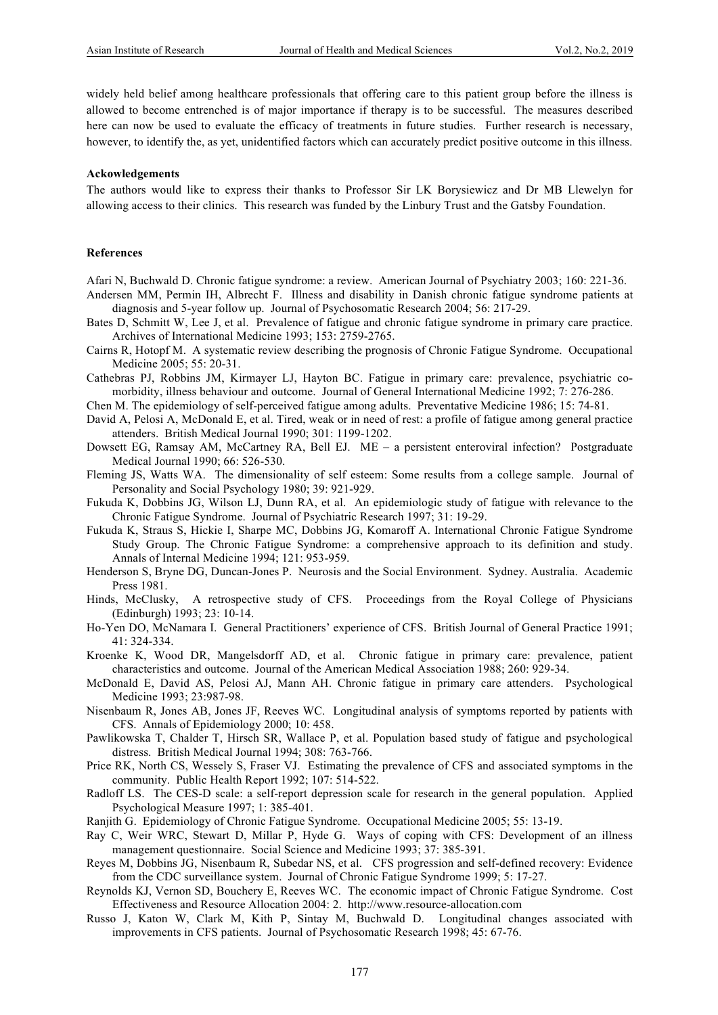widely held belief among healthcare professionals that offering care to this patient group before the illness is allowed to become entrenched is of major importance if therapy is to be successful. The measures described here can now be used to evaluate the efficacy of treatments in future studies. Further research is necessary, however, to identify the, as yet, unidentified factors which can accurately predict positive outcome in this illness.

#### **Ackowledgements**

The authors would like to express their thanks to Professor Sir LK Borysiewicz and Dr MB Llewelyn for allowing access to their clinics. This research was funded by the Linbury Trust and the Gatsby Foundation.

#### **References**

Afari N, Buchwald D. Chronic fatigue syndrome: a review. American Journal of Psychiatry 2003; 160: 221-36.

- Andersen MM, Permin IH, Albrecht F. Illness and disability in Danish chronic fatigue syndrome patients at diagnosis and 5-year follow up. Journal of Psychosomatic Research 2004; 56: 217-29.
- Bates D, Schmitt W, Lee J, et al. Prevalence of fatigue and chronic fatigue syndrome in primary care practice. Archives of International Medicine 1993; 153: 2759-2765.
- Cairns R, Hotopf M. A systematic review describing the prognosis of Chronic Fatigue Syndrome. Occupational Medicine 2005; 55: 20-31.
- Cathebras PJ, Robbins JM, Kirmayer LJ, Hayton BC. Fatigue in primary care: prevalence, psychiatric comorbidity, illness behaviour and outcome. Journal of General International Medicine 1992; 7: 276-286.
- Chen M. The epidemiology of self-perceived fatigue among adults. Preventative Medicine 1986; 15: 74-81.
- David A, Pelosi A, McDonald E, et al. Tired, weak or in need of rest: a profile of fatigue among general practice attenders. British Medical Journal 1990; 301: 1199-1202.
- Dowsett EG, Ramsay AM, McCartney RA, Bell EJ. ME a persistent enteroviral infection? Postgraduate Medical Journal 1990; 66: 526-530.
- Fleming JS, Watts WA. The dimensionality of self esteem: Some results from a college sample. Journal of Personality and Social Psychology 1980; 39: 921-929.
- Fukuda K, Dobbins JG, Wilson LJ, Dunn RA, et al. An epidemiologic study of fatigue with relevance to the Chronic Fatigue Syndrome. Journal of Psychiatric Research 1997; 31: 19-29.
- Fukuda K, Straus S, Hickie I, Sharpe MC, Dobbins JG, Komaroff A. International Chronic Fatigue Syndrome Study Group. The Chronic Fatigue Syndrome: a comprehensive approach to its definition and study. Annals of Internal Medicine 1994; 121: 953-959.
- Henderson S, Bryne DG, Duncan-Jones P. Neurosis and the Social Environment. Sydney. Australia. Academic Press 1981.
- Hinds, McClusky, A retrospective study of CFS. Proceedings from the Royal College of Physicians (Edinburgh) 1993; 23: 10-14.
- Ho-Yen DO, McNamara I. General Practitioners' experience of CFS. British Journal of General Practice 1991; 41: 324-334.
- Kroenke K, Wood DR, Mangelsdorff AD, et al. Chronic fatigue in primary care: prevalence, patient characteristics and outcome. Journal of the American Medical Association 1988; 260: 929-34.
- McDonald E, David AS, Pelosi AJ, Mann AH. Chronic fatigue in primary care attenders. Psychological Medicine 1993; 23:987-98.
- Nisenbaum R, Jones AB, Jones JF, Reeves WC. Longitudinal analysis of symptoms reported by patients with CFS. Annals of Epidemiology 2000; 10: 458.
- Pawlikowska T, Chalder T, Hirsch SR, Wallace P, et al. Population based study of fatigue and psychological distress. British Medical Journal 1994; 308: 763-766.
- Price RK, North CS, Wessely S, Fraser VJ. Estimating the prevalence of CFS and associated symptoms in the community. Public Health Report 1992; 107: 514-522.
- Radloff LS. The CES-D scale: a self-report depression scale for research in the general population. Applied Psychological Measure 1997; 1: 385-401.
- Ranjith G. Epidemiology of Chronic Fatigue Syndrome. Occupational Medicine 2005; 55: 13-19.
- Ray C, Weir WRC, Stewart D, Millar P, Hyde G. Ways of coping with CFS: Development of an illness management questionnaire. Social Science and Medicine 1993; 37: 385-391.
- Reyes M, Dobbins JG, Nisenbaum R, Subedar NS, et al. CFS progression and self-defined recovery: Evidence from the CDC surveillance system. Journal of Chronic Fatigue Syndrome 1999; 5: 17-27.
- Reynolds KJ, Vernon SD, Bouchery E, Reeves WC. The economic impact of Chronic Fatigue Syndrome. Cost Effectiveness and Resource Allocation 2004: 2. http://www.resource-allocation.com
- Russo J, Katon W, Clark M, Kith P, Sintay M, Buchwald D. Longitudinal changes associated with improvements in CFS patients. Journal of Psychosomatic Research 1998; 45: 67-76.